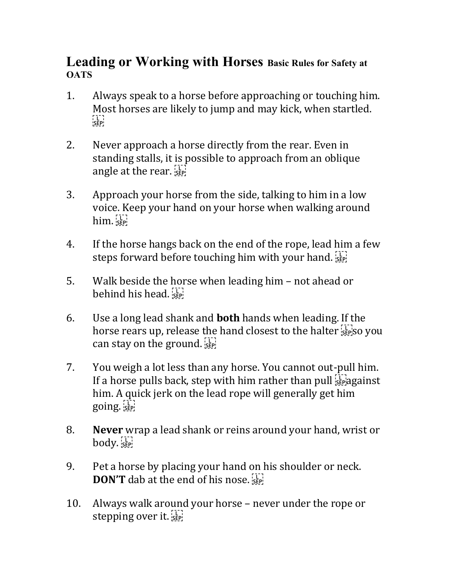## **Leading or Working with Horses Basic Rules for Safety at OATS**

- 1. Always speak to a horse before approaching or touching him. Most horses are likely to jump and may kick, when startled.  $\begin{bmatrix} 1 \\ \text{SEP} \end{bmatrix}$
- 2. Never approach a horse directly from the rear. Even in standing stalls, it is possible to approach from an oblique angle at the rear.  $\frac{1}{12}$
- 3. Approach your horse from the side, talking to him in a low voice. Keep your hand on your horse when walking around him. SEP
- 4. If the horse hangs back on the end of the rope, lead him a few steps forward before touching him with your hand.
- 5. Walk beside the horse when leading him not ahead or behind his head.
- 6. Use a long lead shank and **both** hands when leading. If the horse rears up, release the hand closest to the halter  $\lim_{s\to\infty}$  you can stay on the ground.  $s_{\text{EPI}}$
- 7. You weigh a lot less than any horse. You cannot out-pull him. If a horse pulls back, step with him rather than pull  $\sum_{s}^{n}$  against him. A quick jerk on the lead rope will generally get him going.
- 8. **Never** wrap a lead shank or reins around your hand, wrist or  $body.$
- 9. Pet a horse by placing your hand on his shoulder or neck. **DON'T** dab at the end of his nose.
- 10. Always walk around your horse never under the rope or stepping over it.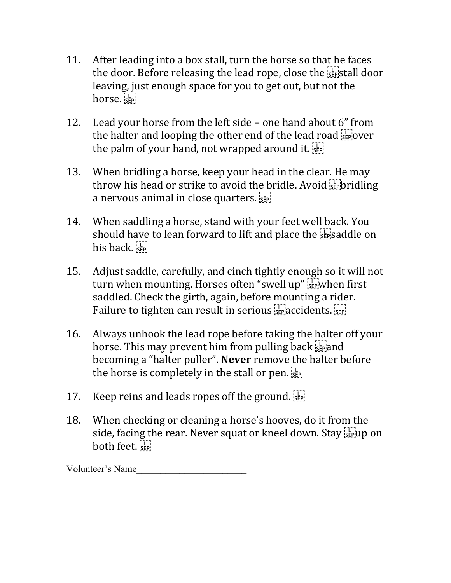- 11. After leading into a box stall, turn the horse so that he faces the door. Before releasing the lead rope, close the  $\frac{1}{12}$  stall door leaving, just enough space for you to get out, but not the horse.
- 12. Lead your horse from the left side one hand about 6" from the halter and looping the other end of the lead road  $\frac{1}{15}$  see over the palm of your hand, not wrapped around it.  $\prod_{s \in \mathbb{N}}$
- 13. When bridling a horse, keep your head in the clear. He may throw his head or strike to avoid the bridle. Avoid  $\sum_{k=1}^{n}$  bridling a nervous animal in close quarters.  $\frac{[1]}{[3]}$
- 14. When saddling a horse, stand with your feet well back. You should have to lean forward to lift and place the  $\frac{1}{15}$  saddle on his back.
- 15. Adjust saddle, carefully, and cinch tightly enough so it will not turn when mounting. Horses often "swell up" stepwhen first saddled. Check the girth, again, before mounting a rider. Failure to tighten can result in serious  $\sum_{s \in \mathbb{R}^2}$  accidents.  $\sum_{s \in \mathbb{R}^2}$
- 16. Always unhook the lead rope before taking the halter off your horse. This may prevent him from pulling back  $\sum_{s \in \mathbb{R}}$  and becoming a "halter puller". **Never** remove the halter before the horse is completely in the stall or pen.  $\frac{1}{15}$
- 17. Keep reins and leads ropes off the ground.
- 18. When checking or cleaning a horse's hooves, do it from the side, facing the rear. Never squat or kneel down. Stay  $\frac{1}{25}$  up on both feet.

Volunteer's Name\_\_\_\_\_\_\_\_\_\_\_\_\_\_\_\_\_\_\_\_\_\_\_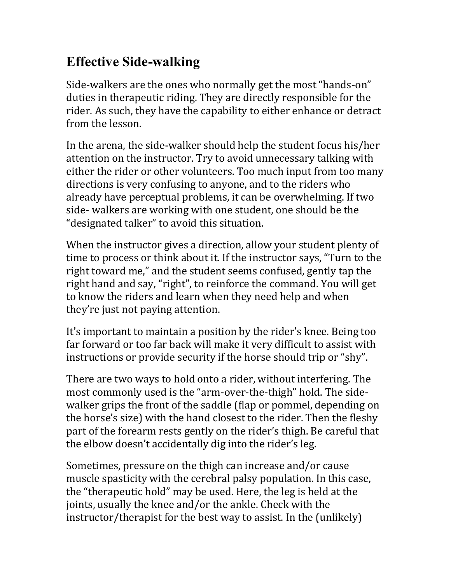## **Effective Side-walking**

Side-walkers are the ones who normally get the most "hands-on" duties in therapeutic riding. They are directly responsible for the rider. As such, they have the capability to either enhance or detract from the lesson.

In the arena, the side-walker should help the student focus his/her attention on the instructor. Try to avoid unnecessary talking with either the rider or other volunteers. Too much input from too many directions is very confusing to anyone, and to the riders who already have perceptual problems, it can be overwhelming. If two side- walkers are working with one student, one should be the "designated talker" to avoid this situation.

When the instructor gives a direction, allow your student plenty of time to process or think about it. If the instructor says, "Turn to the right toward me," and the student seems confused, gently tap the right hand and say, "right", to reinforce the command. You will get to know the riders and learn when they need help and when they're just not paying attention.

It's important to maintain a position by the rider's knee. Being too far forward or too far back will make it very difficult to assist with instructions or provide security if the horse should trip or "shy".

There are two ways to hold onto a rider, without interfering. The most commonly used is the "arm-over-the-thigh" hold. The sidewalker grips the front of the saddle (flap or pommel, depending on the horse's size) with the hand closest to the rider. Then the fleshy part of the forearm rests gently on the rider's thigh. Be careful that the elbow doesn't accidentally dig into the rider's leg.

Sometimes, pressure on the thigh can increase and/or cause muscle spasticity with the cerebral palsy population. In this case, the "therapeutic hold" may be used. Here, the leg is held at the joints, usually the knee and/or the ankle. Check with the instructor/therapist for the best way to assist. In the (unlikely)